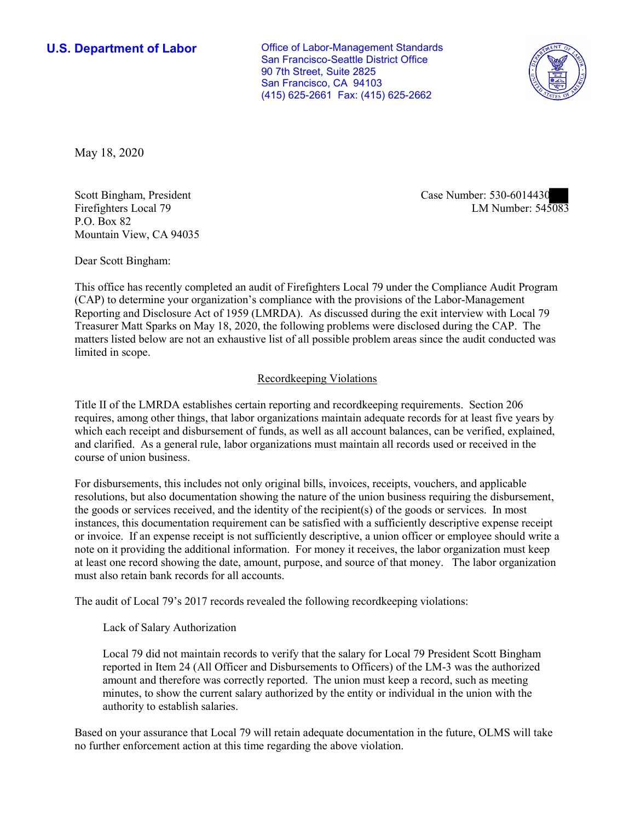**U.S. Department of Labor Conservative Conservative Conservative Conservative Conservative Conservative Conservative Conservative Conservative Conservative Conservative Conservative Conservative Conservative Conservative** San Francisco-Seattle District Office 90 7th Street, Suite 2825 San Francisco, CA 94103 (415) 625-2661 Fax: (415) 625-2662



May 18, 2020

Scott Bingham, President Case Number: 530-6014430 Firefighters Local 79 P.O. Box 82 Mountain View, CA 94035

LM Number:  $54\overline{5083}$ 

Dear Scott Bingham:

This office has recently completed an audit of Firefighters Local 79 under the Compliance Audit Program (CAP) to determine your organization's compliance with the provisions of the Labor-Management Reporting and Disclosure Act of 1959 (LMRDA). As discussed during the exit interview with Local 79 Treasurer Matt Sparks on May 18, 2020, the following problems were disclosed during the CAP. The matters listed below are not an exhaustive list of all possible problem areas since the audit conducted was limited in scope.

## Recordkeeping Violations

 requires, among other things, that labor organizations maintain adequate records for at least five years by which each receipt and disbursement of funds, as well as all account balances, can be verified, explained, and clarified. As a general rule, labor organizations must maintain all records used or received in the Title II of the LMRDA establishes certain reporting and recordkeeping requirements. Section 206 course of union business.

 the goods or services received, and the identity of the recipient(s) of the goods or services. In most For disbursements, this includes not only original bills, invoices, receipts, vouchers, and applicable resolutions, but also documentation showing the nature of the union business requiring the disbursement, instances, this documentation requirement can be satisfied with a sufficiently descriptive expense receipt or invoice. If an expense receipt is not sufficiently descriptive, a union officer or employee should write a note on it providing the additional information. For money it receives, the labor organization must keep at least one record showing the date, amount, purpose, and source of that money. The labor organization must also retain bank records for all accounts.

The audit of Local 79's 2017 records revealed the following recordkeeping violations: Lack of Salary Authorization

 Local 79 did not maintain records to verify that the salary for Local 79 President Scott Bingham amount and therefore was correctly reported. The union must keep a record, such as meeting minutes, to show the current salary authorized by the entity or individual in the union with the reported in Item 24 (All Officer and Disbursements to Officers) of the LM-3 was the authorized authority to establish salaries.

Based on your assurance that Local 79 will retain adequate documentation in the future, OLMS will take no further enforcement action at this time regarding the above violation.